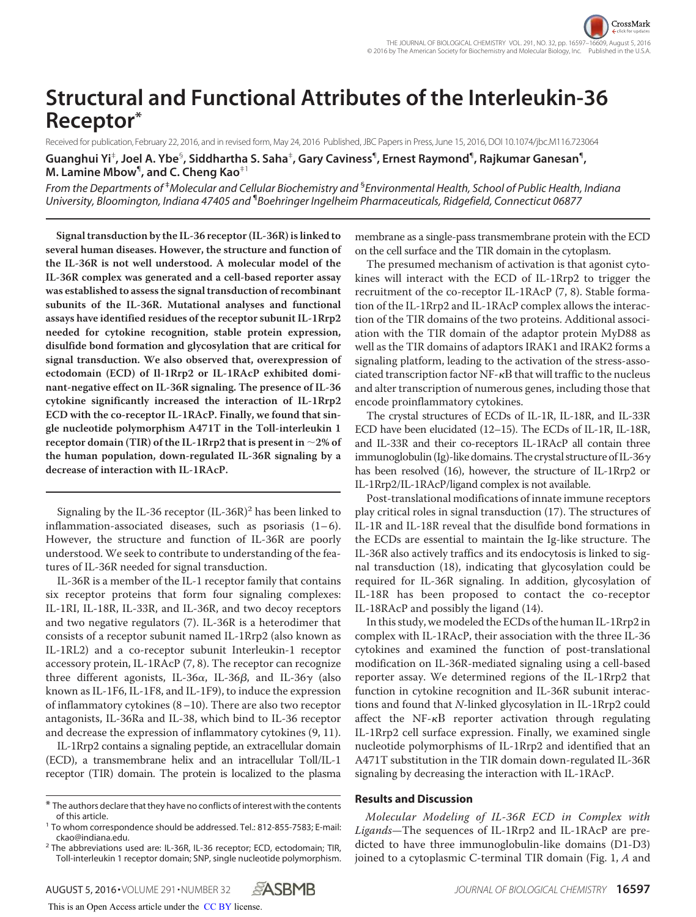# **Structural and Functional Attributes of the Interleukin-36 Receptor\***

Received for publication, February 22, 2016, and in revised form, May 24, 2016 Published, JBC Papers in Press, June 15, 2016, DOI 10.1074/jbc.M116.723064

 $\bf G$ uanghui Yi $^{\dagger}$ , Joel A. Ybe $^{\mathbb{S}}$ , Siddhartha S. Saha $^{\dagger}$ , Gary Caviness $^{\P}$ , Ernest Raymond $^{\P}$ , Rajkumar Ganesan $^{\P}$ , **M. Lamine Mbow**¶ **, and C. Cheng Kao**‡1

*From the Departments of* ‡*Molecular and Cellular Biochemistry and* § *Environmental Health, School of Public Health, Indiana University, Bloomington, Indiana 47405 and* ¶ *Boehringer Ingelheim Pharmaceuticals, Ridgefield, Connecticut 06877*

**Signal transduction by the IL-36 receptor (IL-36R) is linked to several human diseases. However, the structure and function of the IL-36R is not well understood. A molecular model of the IL-36R complex was generated and a cell-based reporter assay was established to assess the signal transduction of recombinant subunits of the IL-36R. Mutational analyses and functional assays have identified residues of the receptor subunit IL-1Rrp2 needed for cytokine recognition, stable protein expression, disulfide bond formation and glycosylation that are critical for signal transduction. We also observed that, overexpression of ectodomain (ECD) of Il-1Rrp2 or IL-1RAcP exhibited dominant-negative effect on IL-36R signaling. The presence of IL-36 cytokine significantly increased the interaction of IL-1Rrp2 ECD with the co-receptor IL-1RAcP. Finally, we found that single nucleotide polymorphism A471T in the Toll-interleukin 1**  $\mathbf{r}$  receptor domain (TIR) of the IL-1Rrp2 that is present in  $\sim$  2% of **the human population, down-regulated IL-36R signaling by a decrease of interaction with IL-1RAcP.**

Signaling by the IL-36 receptor  $(IL-36R)^2$  has been linked to inflammation-associated diseases, such as psoriasis  $(1-6)$ . However, the structure and function of IL-36R are poorly understood. We seek to contribute to understanding of the features of IL-36R needed for signal transduction.

IL-36R is a member of the IL-1 receptor family that contains six receptor proteins that form four signaling complexes: IL-1RI, IL-18R, IL-33R, and IL-36R, and two decoy receptors and two negative regulators (7). IL-36R is a heterodimer that consists of a receptor subunit named IL-1Rrp2 (also known as IL-1RL2) and a co-receptor subunit Interleukin-1 receptor accessory protein, IL-1RAcP (7, 8). The receptor can recognize three different agonists, IL-36 $\alpha$ , IL-36 $\beta$ , and IL-36 $\gamma$  (also known as IL-1F6, IL-1F8, and IL-1F9), to induce the expression of inflammatory cytokines (8–10). There are also two receptor antagonists, IL-36Ra and IL-38, which bind to IL-36 receptor and decrease the expression of inflammatory cytokines (9, 11).

IL-1Rrp2 contains a signaling peptide, an extracellular domain (ECD), a transmembrane helix and an intracellular Toll/IL-1 receptor (TIR) domain. The protein is localized to the plasma

This is an Open Access article under the CC BY license.

membrane as a single-pass transmembrane protein with the ECD on the cell surface and the TIR domain in the cytoplasm.

The presumed mechanism of activation is that agonist cytokines will interact with the ECD of IL-1Rrp2 to trigger the recruitment of the co-receptor IL-1RAcP (7, 8). Stable formation of the IL-1Rrp2 and IL-1RAcP complex allows the interaction of the TIR domains of the two proteins. Additional association with the TIR domain of the adaptor protein MyD88 as well as the TIR domains of adaptors IRAK1 and IRAK2 forms a signaling platform, leading to the activation of the stress-associated transcription factor  $NF - \kappa B$  that will traffic to the nucleus and alter transcription of numerous genes, including those that encode proinflammatory cytokines.

The crystal structures of ECDs of IL-1R, IL-18R, and IL-33R ECD have been elucidated (12–15). The ECDs of IL-1R, IL-18R, and IL-33R and their co-receptors IL-1RAcP all contain three immunoglobulin (Ig)-like domains. The crystal structure of IL-36 $\gamma$ has been resolved (16), however, the structure of IL-1Rrp2 or IL-1Rrp2/IL-1RAcP/ligand complex is not available.

Post-translational modifications of innate immune receptors play critical roles in signal transduction (17). The structures of IL-1R and IL-18R reveal that the disulfide bond formations in the ECDs are essential to maintain the Ig-like structure. The IL-36R also actively traffics and its endocytosis is linked to signal transduction (18), indicating that glycosylation could be required for IL-36R signaling. In addition, glycosylation of IL-18R has been proposed to contact the co-receptor IL-18RAcP and possibly the ligand (14).

In this study, we modeled the ECDs of the human IL-1Rrp2 in complex with IL-1RAcP, their association with the three IL-36 cytokines and examined the function of post-translational modification on IL-36R-mediated signaling using a cell-based reporter assay. We determined regions of the IL-1Rrp2 that function in cytokine recognition and IL-36R subunit interactions and found that N-linked glycosylation in IL-1Rrp2 could affect the  $NF - \kappa B$  reporter activation through regulating IL-1Rrp2 cell surface expression. Finally, we examined single nucleotide polymorphisms of IL-1Rrp2 and identified that an A471T substitution in the TIR domain down-regulated IL-36R signaling by decreasing the interaction with IL-1RAcP.

#### **Results and Discussion**

Molecular Modeling of IL-36R ECD in Complex with Ligands—The sequences of IL-1Rrp2 and IL-1RAcP are predicted to have three immunoglobulin-like domains (D1-D3) joined to a cytoplasmic C-terminal TIR domain (Fig. 1, A and

 $*$  The authors declare that they have no conflicts of interest with the contents of this article.

<sup>&</sup>lt;sup>1</sup> To whom correspondence should be addressed. Tel.: 812-855-7583; E-mail: ckao@indiana.edu.

 $^2$  The abbreviations used are: IL-36R, IL-36 receptor; ECD, ectodomain; TIR, Toll-interleukin 1 receptor domain; SNP, single nucleotide polymorphism.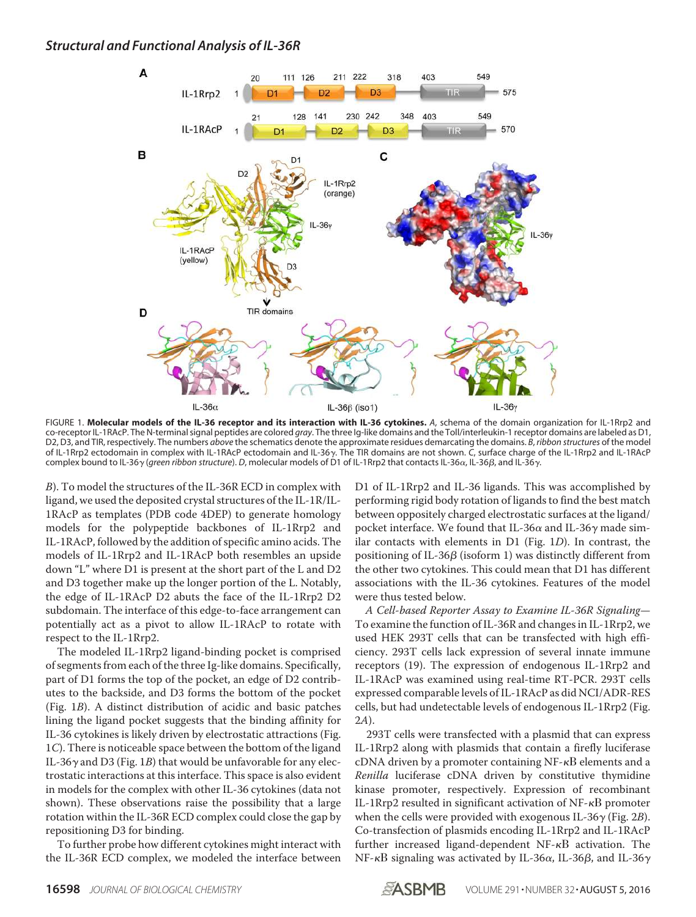

FIGURE 1. **Molecular models of the IL-36 receptor and its interaction with IL-36 cytokines.** *A*, schema of the domain organization for IL-1Rrp2 and co-receptor IL-1RAcP. The N-terminal signal peptides are colored *gray*. The three Ig-like domains and the Toll/interleukin-1 receptor domains are labeled as D1, D2, D3, and TIR, respectively. The numbers *above* the schematics denote the approximate residues demarcating the domains. *B*, *ribbon structures* of the model of IL-1Rrp2 ectodomain in complex with IL-1RAcP ectodomain and IL-36y. The TIR domains are not shown. C, surface charge of the IL-1Rrp2 and IL-1RAcP complex bound to IL-36γ (*green ribbon structure*). *D*, molecular models of D1 of IL-1Rrp2 that contacts IL-36α, IL-36β, and IL-36γ.

B). To model the structures of the IL-36R ECD in complex with ligand, we used the deposited crystal structures of the IL-1R/IL-1RAcP as templates (PDB code 4DEP) to generate homology models for the polypeptide backbones of IL-1Rrp2 and IL-1RAcP, followed by the addition of specific amino acids. The models of IL-1Rrp2 and IL-1RAcP both resembles an upside down "L" where D1 is present at the short part of the L and D2 and D3 together make up the longer portion of the L. Notably, the edge of IL-1RAcP D2 abuts the face of the IL-1Rrp2 D2 subdomain. The interface of this edge-to-face arrangement can potentially act as a pivot to allow IL-1RAcP to rotate with respect to the IL-1Rrp2.

The modeled IL-1Rrp2 ligand-binding pocket is comprised of segments from each of the three Ig-like domains. Specifically, part of D1 forms the top of the pocket, an edge of D2 contributes to the backside, and D3 forms the bottom of the pocket (Fig. 1B). A distinct distribution of acidic and basic patches lining the ligand pocket suggests that the binding affinity for IL-36 cytokines is likely driven by electrostatic attractions (Fig. 1C). There is noticeable space between the bottom of the ligand IL-36 $\gamma$  and D3 (Fig. 1B) that would be unfavorable for any electrostatic interactions at this interface. This space is also evident in models for the complex with other IL-36 cytokines (data not shown). These observations raise the possibility that a large rotation within the IL-36R ECD complex could close the gap by repositioning D3 for binding.

To further probe how different cytokines might interact with the IL-36R ECD complex, we modeled the interface between D1 of IL-1Rrp2 and IL-36 ligands. This was accomplished by performing rigid body rotation of ligands to find the best match between oppositely charged electrostatic surfaces at the ligand/ pocket interface. We found that IL-36 $\alpha$  and IL-36 $\gamma$  made similar contacts with elements in D1 (Fig. 1D). In contrast, the positioning of IL-36 $\beta$  (isoform 1) was distinctly different from the other two cytokines. This could mean that D1 has different associations with the IL-36 cytokines. Features of the model were thus tested below.

A Cell-based Reporter Assay to Examine IL-36R Signaling— To examine the function of IL-36R and changes in IL-1Rrp2, we used HEK 293T cells that can be transfected with high efficiency. 293T cells lack expression of several innate immune receptors (19). The expression of endogenous IL-1Rrp2 and IL-1RAcP was examined using real-time RT-PCR. 293T cells expressed comparable levels of IL-1RAcP as did NCI/ADR-RES cells, but had undetectable levels of endogenous IL-1Rrp2 (Fig. 2A).

293T cells were transfected with a plasmid that can express IL-1Rrp2 along with plasmids that contain a firefly luciferase  $cDNA$  driven by a promoter containing NF- $\kappa$ B elements and a Renilla luciferase cDNA driven by constitutive thymidine kinase promoter, respectively. Expression of recombinant IL-1Rrp2 resulted in significant activation of  $NF - \kappa B$  promoter when the cells were provided with exogenous IL-36 $\gamma$  (Fig. 2B). Co-transfection of plasmids encoding IL-1Rrp2 and IL-1RAcP further increased ligand-dependent  $NF- $\kappa$ B$  activation. The NF- $\kappa$ B signaling was activated by IL-36 $\alpha$ , IL-36 $\beta$ , and IL-36 $\gamma$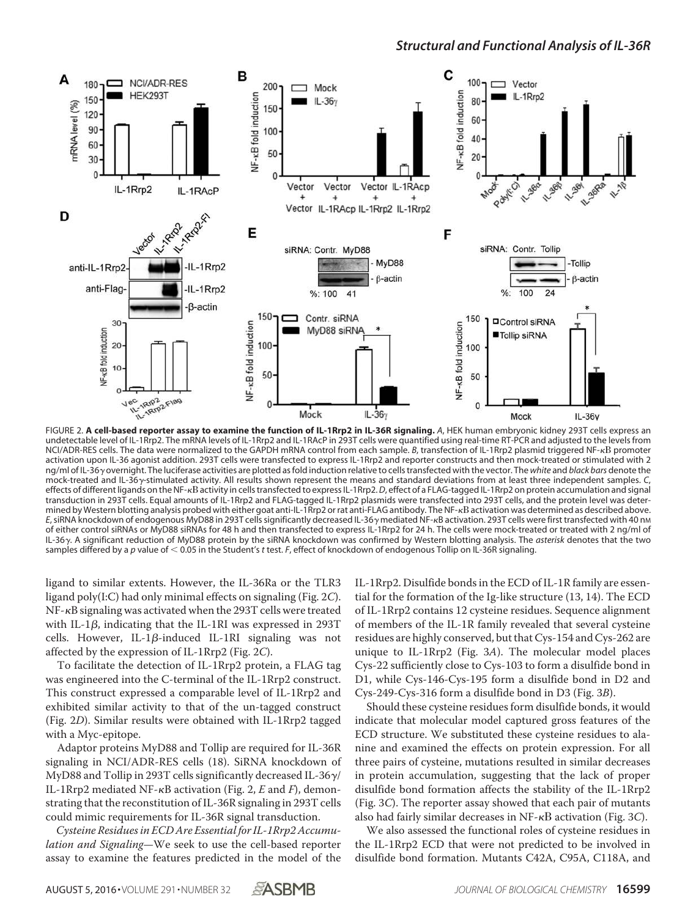

FIGURE 2. **A cell-based reporter assay to examine the function of IL-1Rrp2 in IL-36R signaling.** *A*, HEK human embryonic kidney 293T cells express an undetectable level of IL-1Rrp2. The mRNA levels of IL-1Rrp2 and IL-1RAcP in 293T cells were quantified using real-time RT-PCR and adjusted to the levels from NCI/ADR-RES cells. The data were normalized to the GAPDH mRNA control from each sample. *B*, transfection of IL-1Rrp2 plasmid triggered NF-<sub>K</sub>B promoter activation upon IL-36 agonist addition. 293T cells were transfected to express IL-1Rrp2 and reporter constructs and then mock-treated or stimulated with 2 ng/ml of IL-36 overnight. The luciferase activities are plotted as fold induction relative to cells transfected with the vector. The *white* and *black bars* denote the mock-treated and IL-36y-stimulated activity. All results shown represent the means and standard deviations from at least three independent samples. C, effects of different ligands on the NF-activity in cells transfected to express IL-1Rrp2.*D*, effect of a FLAG-tagged IL-1Rrp2 on protein accumulation and signal transduction in 293T cells. Equal amounts of IL-1Rrp2 and FLAG-tagged IL-1Rrp2 plasmids were transfected into 293T cells, and the protein level was determined by Western blotting analysis probed with either goat anti-IL-1Rrp2 or rat anti-FLAG antibody. The NF- $\kappa$ B activation was determined as described above. E, siRNA knockdown of endogenous MyD88 in 293T cells significantly decreased IL-36 y mediated NF-RB activation. 293T cells were first transfected with 40 nm of either control siRNAs or MyD88 siRNAs for 48 h and then transfected to express IL-1Rrp2 for 24 h. The cells were mock-treated or treated with 2 ng/ml of IL-36. A significant reduction of MyD88 protein by the siRNA knockdown was confirmed by Western blotting analysis. The *asterisk* denotes that the two samples differed by a p value of  $<$  0.05 in the Student's *t* test. *F*, effect of knockdown of endogenous Tollip on IL-36R signaling.

ligand to similar extents. However, the IL-36Ra or the TLR3 ligand poly(I:C) had only minimal effects on signaling (Fig. 2C).  $NF$ - $\kappa$ B signaling was activated when the 293T cells were treated with IL-1 $\beta$ , indicating that the IL-1RI was expressed in 293T cells. However, IL-1 $\beta$ -induced IL-1RI signaling was not affected by the expression of IL-1Rrp2 (Fig. 2C).

To facilitate the detection of IL-1Rrp2 protein, a FLAG tag was engineered into the C-terminal of the IL-1Rrp2 construct. This construct expressed a comparable level of IL-1Rrp2 and exhibited similar activity to that of the un-tagged construct (Fig. 2D). Similar results were obtained with IL-1Rrp2 tagged with a Myc-epitope.

Adaptor proteins MyD88 and Tollip are required for IL-36R signaling in NCI/ADR-RES cells (18). SiRNA knockdown of MyD88 and Tollip in 293T cells significantly decreased IL-36 $\gamma$ / IL-1Rrp2 mediated NF- $\kappa$ B activation (Fig. 2, E and F), demonstrating that the reconstitution of IL-36R signaling in 293T cells could mimic requirements for IL-36R signal transduction.

Cysteine Residues in ECD Are Essential for IL-1Rrp2 Accumulation and Signaling-We seek to use the cell-based reporter assay to examine the features predicted in the model of the IL-1Rrp2. Disulfide bonds in the ECD of IL-1R family are essential for the formation of the Ig-like structure (13, 14). The ECD of IL-1Rrp2 contains 12 cysteine residues. Sequence alignment of members of the IL-1R family revealed that several cysteine residues are highly conserved, but that Cys-154 and Cys-262 are unique to IL-1Rrp2 (Fig. 3A). The molecular model places Cys-22 sufficiently close to Cys-103 to form a disulfide bond in D1, while Cys-146-Cys-195 form a disulfide bond in D2 and Cys-249-Cys-316 form a disulfide bond in D3 (Fig. 3B).

Should these cysteine residues form disulfide bonds, it would indicate that molecular model captured gross features of the ECD structure. We substituted these cysteine residues to alanine and examined the effects on protein expression. For all three pairs of cysteine, mutations resulted in similar decreases in protein accumulation, suggesting that the lack of proper disulfide bond formation affects the stability of the IL-1Rrp2 (Fig. 3C). The reporter assay showed that each pair of mutants also had fairly similar decreases in NF- $\kappa$ B activation (Fig. 3C).

We also assessed the functional roles of cysteine residues in the IL-1Rrp2 ECD that were not predicted to be involved in disulfide bond formation. Mutants C42A, C95A, C118A, and

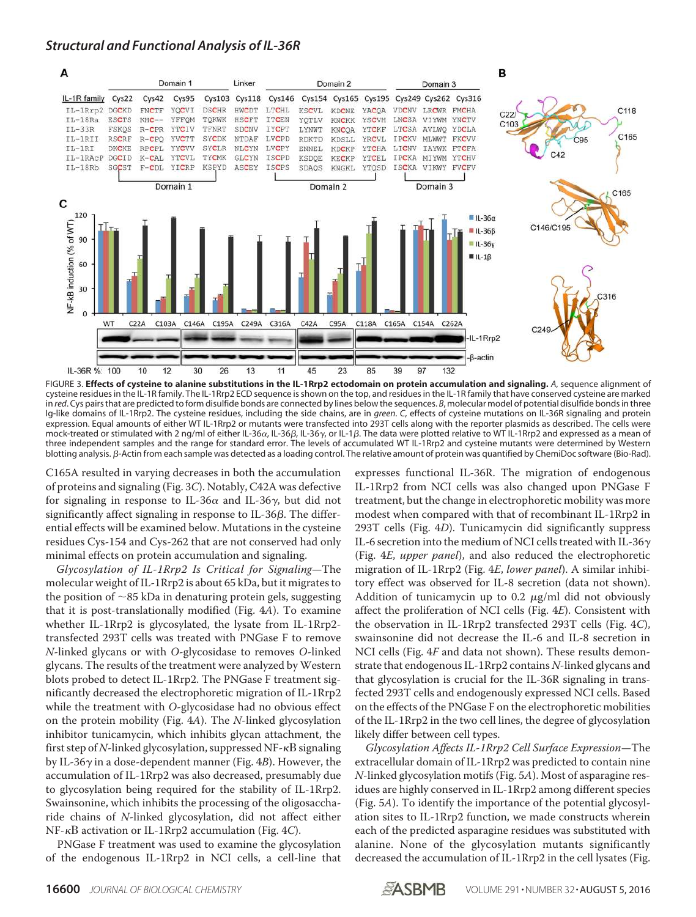

FIGURE 3. **Effects of cysteine to alanine substitutions in the IL-1Rrp2 ectodomain on protein accumulation and signaling.** *A*, sequence alignment of cysteine residues in the IL-1R family. The IL-1Rrp2 ECD sequence is shown on the top, and residues in the IL-1R family that have conserved cysteine are marked in *red*. Cys pairs that are predicted to form disulfide bonds are connected by lines below the sequences. *B*, molecular model of potential disulfide bonds in three Ig-like domains of IL-1Rrp2. The cysteine residues, including the side chains, are in *green*. *C*, effects of cysteine mutations on IL-36R signaling and protein expression. Equal amounts of either WT IL-1Rrp2 or mutants were transfected into 293T cells along with the reporter plasmids as described. The cells were mock-treated or stimulated with 2 ng/ml of either IL-36 $\alpha$ , IL-36 $\beta$ , IL-36 $\gamma$ , or IL-1 $\beta$ . The data were plotted relative to WT IL-1Rrp2 and expressed as a mean of three independent samples and the range for standard error. The levels of accumulated WT IL-1Rrp2 and cysteine mutants were determined by Western blotting analysis. B-Actin from each sample was detected as a loading control. The relative amount of protein was quantified by ChemiDoc software (Bio-Rad).

C165A resulted in varying decreases in both the accumulation of proteins and signaling (Fig. 3C). Notably, C42A was defective for signaling in response to IL-36 $\alpha$  and IL-36 $\gamma$ , but did not significantly affect signaling in response to IL-36 $\beta$ . The differential effects will be examined below. Mutations in the cysteine residues Cys-154 and Cys-262 that are not conserved had only minimal effects on protein accumulation and signaling.

Glycosylation of IL-1Rrp2 Is Critical for Signaling—The molecular weight of IL-1Rrp2 is about 65 kDa, but it migrates to the position of  $\sim$  85 kDa in denaturing protein gels, suggesting that it is post-translationally modified (Fig. 4A). To examine whether IL-1Rrp2 is glycosylated, the lysate from IL-1Rrp2 transfected 293T cells was treated with PNGase F to remove N-linked glycans or with O-glycosidase to removes O-linked glycans. The results of the treatment were analyzed by Western blots probed to detect IL-1Rrp2. The PNGase F treatment significantly decreased the electrophoretic migration of IL-1Rrp2 while the treatment with O-glycosidase had no obvious effect on the protein mobility (Fig. 4A). The N-linked glycosylation inhibitor tunicamycin, which inhibits glycan attachment, the first step of N-linked glycosylation, suppressed NF- $\kappa$ B signaling by IL-36 $\gamma$  in a dose-dependent manner (Fig. 4B). However, the accumulation of IL-1Rrp2 was also decreased, presumably due to glycosylation being required for the stability of IL-1Rrp2. Swainsonine, which inhibits the processing of the oligosaccharide chains of N-linked glycosylation, did not affect either  $NF - \kappa B$  activation or IL-1Rrp2 accumulation (Fig. 4C).

PNGase F treatment was used to examine the glycosylation of the endogenous IL-1Rrp2 in NCI cells, a cell-line that

expresses functional IL-36R. The migration of endogenous IL-1Rrp2 from NCI cells was also changed upon PNGase F treatment, but the change in electrophoretic mobility was more modest when compared with that of recombinant IL-1Rrp2 in 293T cells (Fig. 4D). Tunicamycin did significantly suppress IL-6 secretion into the medium of NCI cells treated with IL-36 $\gamma$ (Fig. 4E, upper panel), and also reduced the electrophoretic migration of IL-1Rrp2 (Fig. 4E, lower panel). A similar inhibitory effect was observed for IL-8 secretion (data not shown). Addition of tunicamycin up to 0.2  $\mu$ g/ml did not obviously affect the proliferation of NCI cells (Fig. 4E). Consistent with the observation in IL-1Rrp2 transfected 293T cells (Fig. 4C), swainsonine did not decrease the IL-6 and IL-8 secretion in NCI cells (Fig. 4F and data not shown). These results demonstrate that endogenous IL-1Rrp2 contains N-linked glycans and that glycosylation is crucial for the IL-36R signaling in transfected 293T cells and endogenously expressed NCI cells. Based on the effects of the PNGase F on the electrophoretic mobilities of the IL-1Rrp2 in the two cell lines, the degree of glycosylation likely differ between cell types.

Glycosylation Affects IL-1Rrp2 Cell Surface Expression—The extracellular domain of IL-1Rrp2 was predicted to contain nine N-linked glycosylation motifs (Fig. 5A). Most of asparagine residues are highly conserved in IL-1Rrp2 among different species (Fig. 5A). To identify the importance of the potential glycosylation sites to IL-1Rrp2 function, we made constructs wherein each of the predicted asparagine residues was substituted with alanine. None of the glycosylation mutants significantly decreased the accumulation of IL-1Rrp2 in the cell lysates (Fig.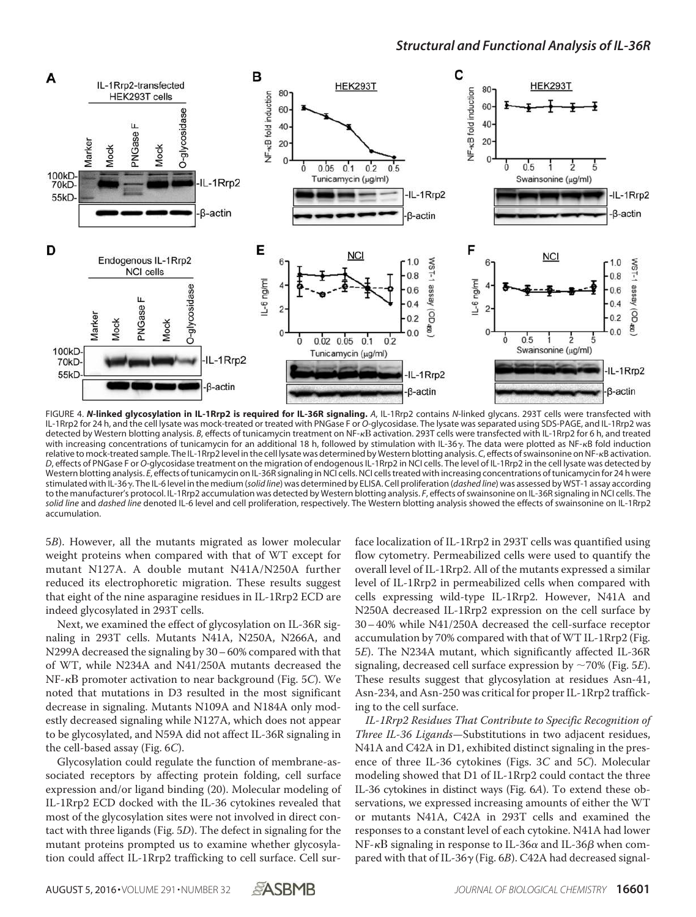

FIGURE 4. *N***-linked glycosylation in IL-1Rrp2 is required for IL-36R signaling.** *A*, IL-1Rrp2 contains *N*-linked glycans. 293T cells were transfected with IL-1Rrp2 for 24 h, and the cell lysate was mock-treated or treated with PNGase F or *O*-glycosidase. The lysate was separated using SDS-PAGE, and IL-1Rrp2 was detected by Western blotting analysis. *B*, effects of tunicamycin treatment on NF-<sub>K</sub>B activation. 293T cells were transfected with IL-1Rrp2 for 6 h, and treated with increasing concentrations of tunicamycin for an additional 18 h, followed by stimulation with IL-36y. The data were plotted as NF-kB fold induction relative to mock-treated sample. The IL-1Rrp2 level in the cell lysate was determined by Western blotting analysis. C, effects of swainsonine on NF-<sub>K</sub>B activation. *D*, effects of PNGase F or *O*-glycosidase treatment on the migration of endogenous IL-1Rrp2 in NCI cells. The level of IL-1Rrp2 in the cell lysate was detected by Western blotting analysis. *E*, effects of tunicamycin on IL-36R signaling in NCI cells. NCI cells treated with increasing concentrations of tunicamycin for 24 h were stimulated with IL-36. The IL-6 level in the medium (*solid line*) was determined by ELISA. Cell proliferation (*dashed line*) was assessed by WST-1 assay according to the manufacturer's protocol. IL-1Rrp2 accumulation was detected by Western blotting analysis. *F*, effects of swainsonine on IL-36R signaling in NCI cells. The *solid line* and *dashed line* denoted IL-6 level and cell proliferation, respectively. The Western blotting analysis showed the effects of swainsonine on IL-1Rrp2 accumulation.

5B). However, all the mutants migrated as lower molecular weight proteins when compared with that of WT except for mutant N127A. A double mutant N41A/N250A further reduced its electrophoretic migration. These results suggest that eight of the nine asparagine residues in IL-1Rrp2 ECD are indeed glycosylated in 293T cells.

Next, we examined the effect of glycosylation on IL-36R signaling in 293T cells. Mutants N41A, N250A, N266A, and N299A decreased the signaling by 30– 60% compared with that of WT, while N234A and N41/250A mutants decreased the  $NF-\kappa B$  promoter activation to near background (Fig. 5C). We noted that mutations in D3 resulted in the most significant decrease in signaling. Mutants N109A and N184A only modestly decreased signaling while N127A, which does not appear to be glycosylated, and N59A did not affect IL-36R signaling in the cell-based assay (Fig. 6C).

Glycosylation could regulate the function of membrane-associated receptors by affecting protein folding, cell surface expression and/or ligand binding (20). Molecular modeling of IL-1Rrp2 ECD docked with the IL-36 cytokines revealed that most of the glycosylation sites were not involved in direct contact with three ligands (Fig. 5D). The defect in signaling for the mutant proteins prompted us to examine whether glycosylation could affect IL-1Rrp2 trafficking to cell surface. Cell surface localization of IL-1Rrp2 in 293T cells was quantified using flow cytometry. Permeabilized cells were used to quantify the overall level of IL-1Rrp2. All of the mutants expressed a similar level of IL-1Rrp2 in permeabilized cells when compared with cells expressing wild-type IL-1Rrp2. However, N41A and N250A decreased IL-1Rrp2 expression on the cell surface by 30– 40% while N41/250A decreased the cell-surface receptor accumulation by 70% compared with that of WT IL-1Rrp2 (Fig. 5E). The N234A mutant, which significantly affected IL-36R signaling, decreased cell surface expression by  $\sim$  70% (Fig. 5E). These results suggest that glycosylation at residues Asn-41, Asn-234, and Asn-250 was critical for proper IL-1Rrp2 trafficking to the cell surface.

IL-1Rrp2 Residues That Contribute to Specific Recognition of Three IL-36 Ligands—Substitutions in two adjacent residues, N41A and C42A in D1, exhibited distinct signaling in the presence of three IL-36 cytokines (Figs. 3C and 5C). Molecular modeling showed that D1 of IL-1Rrp2 could contact the three IL-36 cytokines in distinct ways (Fig. 6A). To extend these observations, we expressed increasing amounts of either the WT or mutants N41A, C42A in 293T cells and examined the responses to a constant level of each cytokine. N41A had lower NF- $\kappa$ B signaling in response to IL-36 $\alpha$  and IL-36 $\beta$  when compared with that of IL-36 $\gamma$  (Fig. 6B). C42A had decreased signal-

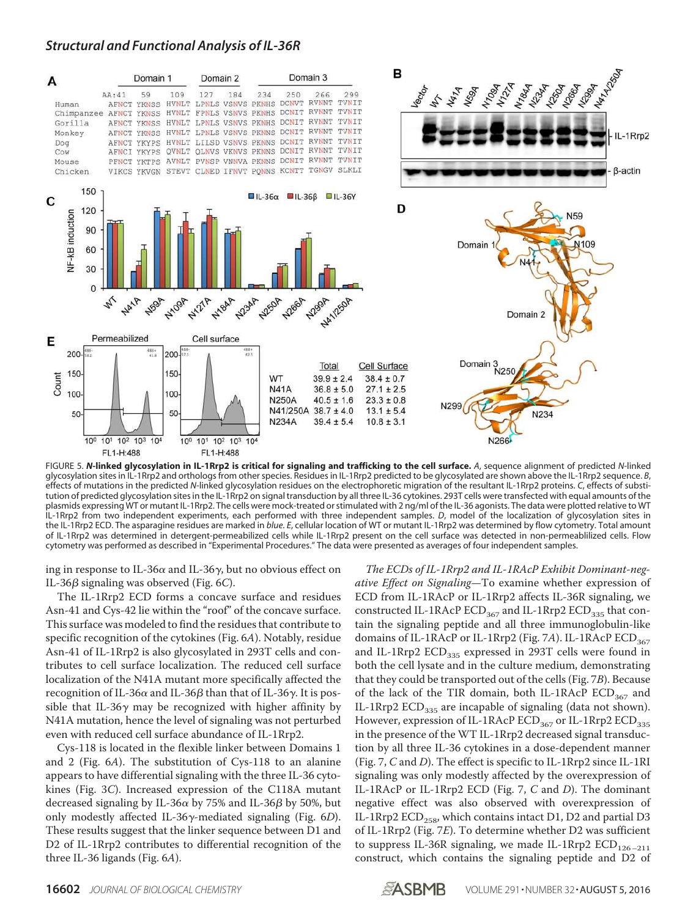

FIGURE 5. *N***-linked glycosylation in IL-1Rrp2 is critical for signaling and trafficking to the cell surface.** *A*, sequence alignment of predicted *N*-linked glycosylation sites in IL-1Rrp2 and orthologs from other species. Residues in IL-1Rrp2 predicted to be glycosylated are shown above the IL-1Rrp2 sequence. *B*, effects of mutations in the predicted *N*-linked glycosylation residues on the electrophoretic migration of the resultant IL-1Rrp2 proteins. *C*, effects of substitution of predicted glycosylation sites in the IL-1Rrp2 on signal transduction by all three IL-36 cytokines. 293T cells were transfected with equal amounts of the plasmids expressing WT or mutant IL-1Rrp2. The cells were mock-treated or stimulated with 2 ng/ml of the IL-36 agonists. The data were plotted relative to WT IL-1Rrp2 from two independent experiments, each performed with three independent samples. *D*, model of the localization of glycosylation sites in the IL-1Rrp2 ECD. The asparagine residues are marked in *blue*. *E*, cellular location of WT or mutant IL-1Rrp2 was determined by flow cytometry. Total amount of IL-1Rrp2 was determined in detergent-permeabilized cells while IL-1Rrp2 present on the cell surface was detected in non-permeablilized cells. Flow cytometry was performed as described in "Experimental Procedures." The data were presented as averages of four independent samples.

ing in response to IL-36 $\alpha$  and IL-36 $\gamma$ , but no obvious effect on IL-36 $\beta$  signaling was observed (Fig. 6C).

The IL-1Rrp2 ECD forms a concave surface and residues Asn-41 and Cys-42 lie within the "roof" of the concave surface. This surface was modeled to find the residues that contribute to specific recognition of the cytokines (Fig. 6A). Notably, residue Asn-41 of IL-1Rrp2 is also glycosylated in 293T cells and contributes to cell surface localization. The reduced cell surface localization of the N41A mutant more specifically affected the recognition of IL-36 $\alpha$  and IL-36 $\beta$  than that of IL-36 $\gamma$ . It is possible that IL-36 $\gamma$  may be recognized with higher affinity by N41A mutation, hence the level of signaling was not perturbed even with reduced cell surface abundance of IL-1Rrp2.

Cys-118 is located in the flexible linker between Domains 1 and 2 (Fig. 6A). The substitution of Cys-118 to an alanine appears to have differential signaling with the three IL-36 cytokines (Fig. 3C). Increased expression of the C118A mutant decreased signaling by IL-36 $\alpha$  by 75% and IL-36 $\beta$  by 50%, but only modestly affected IL-36 $\gamma$ -mediated signaling (Fig. 6D). These results suggest that the linker sequence between D1 and D2 of IL-1Rrp2 contributes to differential recognition of the three IL-36 ligands (Fig. 6A).

The ECDs of IL-1Rrp2 and IL-1RAcP Exhibit Dominant-negative Effect on Signaling—To examine whether expression of ECD from IL-1RAcP or IL-1Rrp2 affects IL-36R signaling, we constructed IL-1RAcP  $ECD<sub>367</sub>$  and IL-1Rrp2  $ECD<sub>335</sub>$  that contain the signaling peptide and all three immunoglobulin-like domains of IL-1RAcP or IL-1Rrp2 (Fig. 7A). IL-1RAcP  $ECD<sub>367</sub>$ and IL-1Rrp2  $ECD_{335}$  expressed in 293T cells were found in both the cell lysate and in the culture medium, demonstrating that they could be transported out of the cells (Fig. 7B). Because of the lack of the TIR domain, both IL-1RAcP  $ECD_{367}$  and IL-1Rrp2  $ECD_{335}$  are incapable of signaling (data not shown). However, expression of IL-1RAcP  $ECD_{367}$  or IL-1Rrp2  $ECD_{335}$ in the presence of the WT IL-1Rrp2 decreased signal transduction by all three IL-36 cytokines in a dose-dependent manner (Fig. 7, C and D). The effect is specific to IL-1Rrp2 since IL-1RI signaling was only modestly affected by the overexpression of IL-1RAcP or IL-1Rrp2 ECD (Fig. 7, C and D). The dominant negative effect was also observed with overexpression of IL-1Rrp2  $ECD_{258}$ , which contains intact D1, D2 and partial D3 of IL-1Rrp2 (Fig. 7E). To determine whether D2 was sufficient to suppress IL-36R signaling, we made IL-1Rrp2  $ECD_{126-211}$ construct, which contains the signaling peptide and D2 of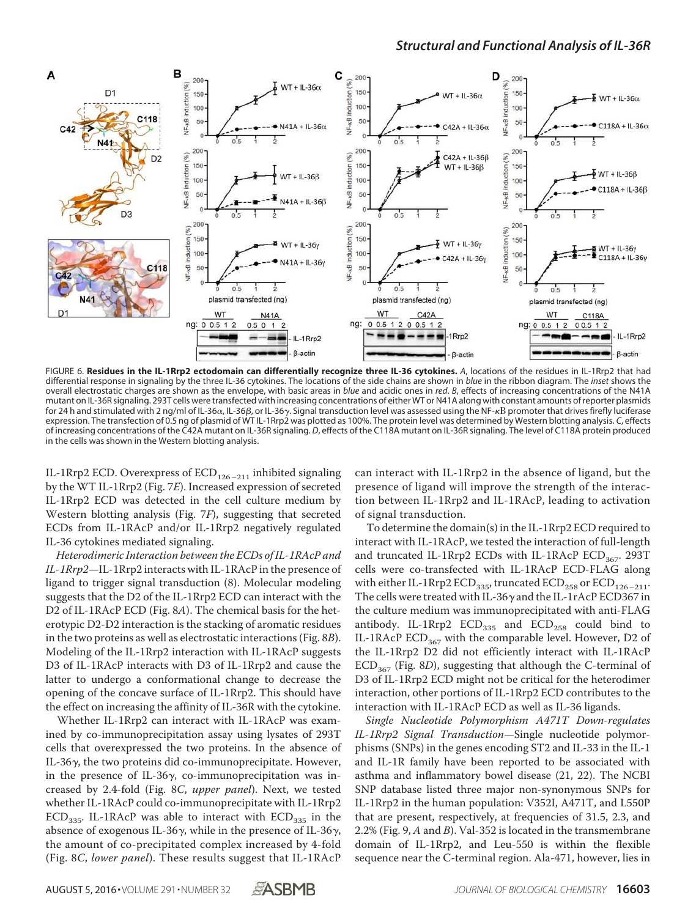

FIGURE 6. **Residues in the IL-1Rrp2 ectodomain can differentially recognize three IL-36 cytokines.** *A*, locations of the residues in IL-1Rrp2 that had differential response in signaling by the three IL-36 cytokines. The locations of the side chains are shown in *blue* in the ribbon diagram. The *inset* shows the overall electrostatic charges are shown as the envelope, with basic areas in *blue* and acidic ones in *red*. *B*, effects of increasing concentrations of the N41A mutant on IL-36R signaling. 293T cells were transfected with increasing concentrations of either WT or N41A along with constant amounts of reporter plasmids for 24 h and stimulated with 2 ng/ml of IL-36α, IL-36β, or IL-36γ. Signal transduction level was assessed using the NF-κB promoter that drives firefly luciferase expression. The transfection of 0.5 ng of plasmid of WT IL-1Rrp2 was plotted as 100%. The protein level was determined by Western blotting analysis. *C*, effects of increasing concentrations of the C42A mutant on IL-36R signaling. *D*, effects of the C118A mutant on IL-36R signaling. The level of C118A protein produced in the cells was shown in the Western blotting analysis.

IL-1Rrp2 ECD. Overexpress of  $ECD_{126-211}$  inhibited signaling by the WT IL-1Rrp2 (Fig. 7E). Increased expression of secreted IL-1Rrp2 ECD was detected in the cell culture medium by Western blotting analysis (Fig. 7F), suggesting that secreted ECDs from IL-1RAcP and/or IL-1Rrp2 negatively regulated IL-36 cytokines mediated signaling.

Heterodimeric Interaction between the ECDs of IL-1RAcP and IL-1Rrp2—IL-1Rrp2 interacts with IL-1RAcP in the presence of ligand to trigger signal transduction (8). Molecular modeling suggests that the D2 of the IL-1Rrp2 ECD can interact with the D2 of IL-1RAcP ECD (Fig. 8A). The chemical basis for the heterotypic D2-D2 interaction is the stacking of aromatic residues in the two proteins as well as electrostatic interactions (Fig. 8B). Modeling of the IL-1Rrp2 interaction with IL-1RAcP suggests D3 of IL-1RAcP interacts with D3 of IL-1Rrp2 and cause the latter to undergo a conformational change to decrease the opening of the concave surface of IL-1Rrp2. This should have the effect on increasing the affinity of IL-36R with the cytokine.

Whether IL-1Rrp2 can interact with IL-1RAcP was examined by co-immunoprecipitation assay using lysates of 293T cells that overexpressed the two proteins. In the absence of IL-36 $\gamma$ , the two proteins did co-immunoprecipitate. However, in the presence of IL-36 $\gamma$ , co-immunoprecipitation was increased by 2.4-fold (Fig. 8C, upper panel). Next, we tested whether IL-1RAcP could co-immunoprecipitate with IL-1Rrp2 ECD<sub>335</sub>. IL-1RAcP was able to interact with  $ECD_{335}$  in the absence of exogenous IL-36 $\gamma$ , while in the presence of IL-36 $\gamma$ , the amount of co-precipitated complex increased by 4-fold (Fig. 8C, lower panel). These results suggest that IL-1RAcP

can interact with IL-1Rrp2 in the absence of ligand, but the presence of ligand will improve the strength of the interaction between IL-1Rrp2 and IL-1RAcP, leading to activation of signal transduction.

To determine the domain(s) in the IL-1Rrp2 ECD required to interact with IL-1RAcP, we tested the interaction of full-length and truncated IL-1Rrp2 ECDs with IL-1RAcP ECD<sub>367</sub>. 293T cells were co-transfected with IL-1RAcP ECD-FLAG along with either IL-1Rrp2 ECD<sub>335</sub>, truncated  $ECD_{258}$  or  $ECD_{126-211}$ . The cells were treated with IL-36 $\gamma$  and the IL-1rAcP ECD367 in the culture medium was immunoprecipitated with anti-FLAG antibody. IL-1Rrp2  $ECD_{335}$  and  $ECD_{258}$  could bind to IL-1RAcP  $ECD_{367}$  with the comparable level. However, D2 of the IL-1Rrp2 D2 did not efficiently interact with IL-1RAcP  $ECD<sub>367</sub>$  (Fig. 8D), suggesting that although the C-terminal of D3 of IL-1Rrp2 ECD might not be critical for the heterodimer interaction, other portions of IL-1Rrp2 ECD contributes to the interaction with IL-1RAcP ECD as well as IL-36 ligands.

Single Nucleotide Polymorphism A471T Down-regulates IL-1Rrp2 Signal Transduction—Single nucleotide polymorphisms (SNPs) in the genes encoding ST2 and IL-33 in the IL-1 and IL-1R family have been reported to be associated with asthma and inflammatory bowel disease (21, 22). The NCBI SNP database listed three major non-synonymous SNPs for IL-1Rrp2 in the human population: V352I, A471T, and L550P that are present, respectively, at frequencies of 31.5, 2.3, and 2.2% (Fig. 9, A and B). Val-352 is located in the transmembrane domain of IL-1Rrp2, and Leu-550 is within the flexible sequence near the C-terminal region. Ala-471, however, lies in

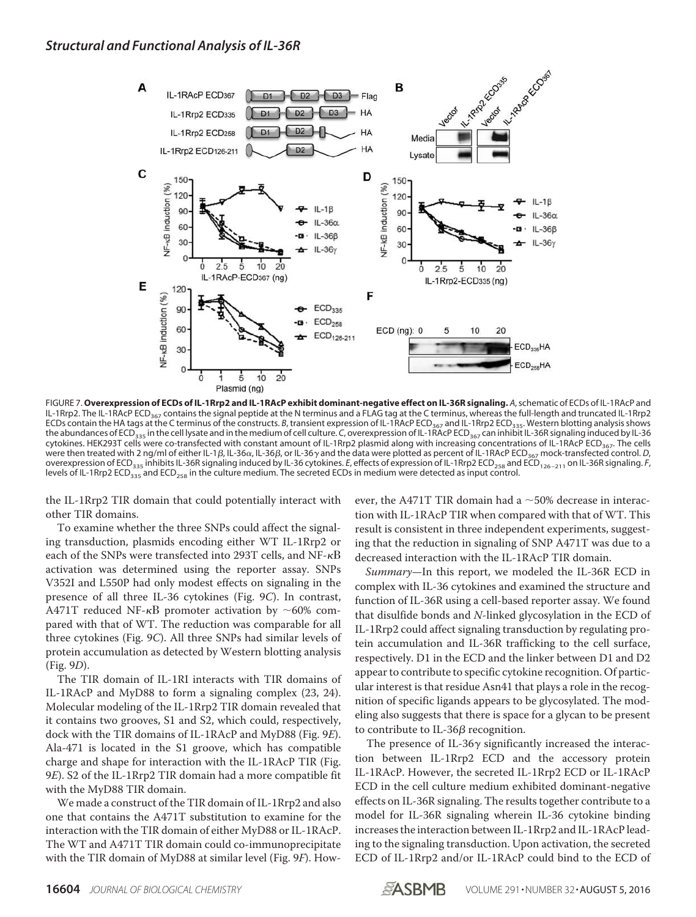

FIGURE 7. **Overexpression of ECDs of IL-1Rrp2 and IL-1RAcP exhibit dominant-negative effect on IL-36R signaling.** *A*, schematic of ECDs of IL-1RAcP and IL-1Rrp2. The IL-1RAcP ECD<sub>367</sub> contains the signal peptide at the N terminus and a FLAG tag at the C terminus, whereas the full-length and truncated IL-1Rrp2 ECDs contain the HA tags at the C terminus of the constructs. *B*, transient expression of IL-1RAcP ECD<sub>367</sub> and IL-1Rrp2 ECD<sub>335</sub>. Western blotting analysis shows the abundances of ECD<sub>335</sub> in the cell lysate and in the medium of cell culture. *C*, overexpression of IL-1RAcP ECD<sub>367</sub> can inhibit IL-36R signaling induced by IL-36 cytokines. HEK293T cells were co-transfected with constant amount of IL-1Rrp2 plasmid along with increasing concentrations of IL-1RAcP ECD367. The cells were then treated with 2 ng/ml of either IL-1 $\beta$ , IL-36 $\alpha$ , IL-36 $\beta$ , or IL-36 $\gamma$  and the data were plotted as percent of IL-1RAcP ECD<sub>367</sub> mock-transfected control. *D*, overexpression of ECD<sub>335</sub> inhibits IL-36R signaling induced by IL-36 cytokines. *E*, effects of expression of IL-1Rrp2 ECD<sub>258</sub> and ECD<sub>126-211</sub> on IL-36R signaling. *F*, levels of IL-1Rrp2 ECD<sub>335</sub> and ECD<sub>258</sub> in the culture medium. The secreted ECDs in medium were detected as input control.

the IL-1Rrp2 TIR domain that could potentially interact with other TIR domains.

To examine whether the three SNPs could affect the signaling transduction, plasmids encoding either WT IL-1Rrp2 or each of the SNPs were transfected into 293T cells, and NF- $\kappa$ B activation was determined using the reporter assay. SNPs V352I and L550P had only modest effects on signaling in the presence of all three IL-36 cytokines (Fig. 9C). In contrast, A471T reduced NF- $\kappa$ B promoter activation by  $\sim$ 60% compared with that of WT. The reduction was comparable for all three cytokines (Fig. 9C). All three SNPs had similar levels of protein accumulation as detected by Western blotting analysis (Fig. 9D).

The TIR domain of IL-1RI interacts with TIR domains of IL-1RAcP and MyD88 to form a signaling complex (23, 24). Molecular modeling of the IL-1Rrp2 TIR domain revealed that it contains two grooves, S1 and S2, which could, respectively, dock with the TIR domains of IL-1RAcP and MyD88 (Fig. 9E). Ala-471 is located in the S1 groove, which has compatible charge and shape for interaction with the IL-1RAcP TIR (Fig. 9E). S2 of the IL-1Rrp2 TIR domain had a more compatible fit with the MyD88 TIR domain.

We made a construct of the TIR domain of IL-1Rrp2 and also one that contains the A471T substitution to examine for the interaction with the TIR domain of either MyD88 or IL-1RAcP. The WT and A471T TIR domain could co-immunoprecipitate with the TIR domain of MyD88 at similar level (Fig. 9F). How-

ever, the A471T TIR domain had a  $\sim$  50% decrease in interaction with IL-1RAcP TIR when compared with that of WT. This result is consistent in three independent experiments, suggesting that the reduction in signaling of SNP A471T was due to a decreased interaction with the IL-1RAcP TIR domain.

Summary-In this report, we modeled the IL-36R ECD in complex with IL-36 cytokines and examined the structure and function of IL-36R using a cell-based reporter assay. We found that disulfide bonds and N-linked glycosylation in the ECD of IL-1Rrp2 could affect signaling transduction by regulating protein accumulation and IL-36R trafficking to the cell surface, respectively. D1 in the ECD and the linker between D1 and D2 appear to contribute to specific cytokine recognition. Of particular interest is that residue Asn41 that plays a role in the recognition of specific ligands appears to be glycosylated. The modeling also suggests that there is space for a glycan to be present to contribute to IL-36 $\beta$  recognition.

The presence of IL-36 $\gamma$  significantly increased the interaction between IL-1Rrp2 ECD and the accessory protein IL-1RAcP. However, the secreted IL-1Rrp2 ECD or IL-1RAcP ECD in the cell culture medium exhibited dominant-negative effects on IL-36R signaling. The results together contribute to a model for IL-36R signaling wherein IL-36 cytokine binding increases the interaction between IL-1Rrp2 and IL-1RAcP leading to the signaling transduction. Upon activation, the secreted ECD of IL-1Rrp2 and/or IL-1RAcP could bind to the ECD of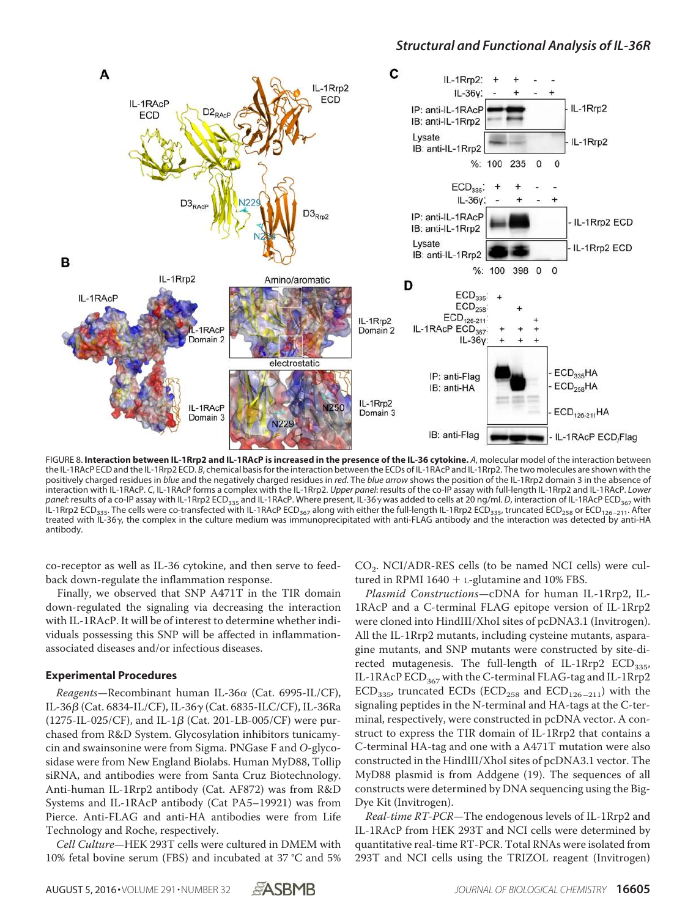

FIGURE 8. **Interaction between IL-1Rrp2 and IL-1RAcP is increased in the presence of the IL-36 cytokine.** *A*, molecular model of the interaction between the IL-1RAcP ECD and the IL-1Rrp2 ECD. *B*, chemical basis for the interaction between the ECDs of IL-1RAcP and IL-1Rrp2. The two molecules are shown with the positively charged residues in *blue* and the negatively charged residues in *red*. The *blue arrow* shows the position of the IL-1Rrp2 domain 3 in the absence of interaction with IL-1RAcP. *C*, IL-1RAcP forms a complex with the IL-1Rrp2. *Upper panel*: results of the co-IP assay with full-length IL-1Rrp2 and IL-1RAcP. *Lower* panel: results of a co-IP assay with IL-1Rrp2 ECD<sub>335</sub> and IL-1RAcP. Where present, IL-36 y was added to cells at 20 ng/ml. *D*, interaction of IL-1RAcP ECD<sub>367</sub> with IL-1Rrp2 ECD<sub>335</sub>. The cells were co-transfected with IL-1RAcP ECD<sub>367</sub> along with either the full-length IL-1Rrp2 ECD<sub>335</sub>, truncated ECD<sub>258</sub> or ECD<sub>126</sub>-211. After treated with IL-36 $\gamma$ , the complex in the culture medium was immunoprecipitated with anti-FLAG antibody and the interaction was detected by anti-HA antibody.

co-receptor as well as IL-36 cytokine, and then serve to feedback down-regulate the inflammation response.

Finally, we observed that SNP A471T in the TIR domain down-regulated the signaling via decreasing the interaction with IL-1RAcP. It will be of interest to determine whether individuals possessing this SNP will be affected in inflammationassociated diseases and/or infectious diseases.

#### **Experimental Procedures**

Reagents-Recombinant human IL-36 $\alpha$  (Cat. 6995-IL/CF), IL-36β (Cat. 6834-IL/CF), IL-36γ (Cat. 6835-ILC/CF), IL-36Ra  $(1275\text{-}IL-025/CF)$ , and IL-1 $\beta$  (Cat. 201-LB-005/CF) were purchased from R&D System. Glycosylation inhibitors tunicamycin and swainsonine were from Sigma. PNGase F and O-glycosidase were from New England Biolabs. Human MyD88, Tollip siRNA, and antibodies were from Santa Cruz Biotechnology. Anti-human IL-1Rrp2 antibody (Cat. AF872) was from R&D Systems and IL-1RAcP antibody (Cat PA5–19921) was from Pierce. Anti-FLAG and anti-HA antibodies were from Life Technology and Roche, respectively.

Cell Culture—HEK 293T cells were cultured in DMEM with 10% fetal bovine serum (FBS) and incubated at 37 °C and 5% CO<sup>2</sup> . NCI/ADR-RES cells (to be named NCI cells) were cultured in RPMI 1640  $+$  L-glutamine and 10% FBS.

Plasmid Constructions—cDNA for human IL-1Rrp2, IL-1RAcP and a C-terminal FLAG epitope version of IL-1Rrp2 were cloned into HindIII/XhoI sites of pcDNA3.1 (Invitrogen). All the IL-1Rrp2 mutants, including cysteine mutants, asparagine mutants, and SNP mutants were constructed by site-directed mutagenesis. The full-length of IL-1Rrp2  $ECD_{335}$ , IL-1RAcP ECD<sub>367</sub> with the C-terminal FLAG-tag and IL-1Rrp2  $ECD_{335}$ , truncated ECDs (ECD<sub>258</sub> and  $ECD_{126-211}$ ) with the signaling peptides in the N-terminal and HA-tags at the C-terminal, respectively, were constructed in pcDNA vector. A construct to express the TIR domain of IL-1Rrp2 that contains a C-terminal HA-tag and one with a A471T mutation were also constructed in the HindIII/XhoI sites of pcDNA3.1 vector. The MyD88 plasmid is from Addgene (19). The sequences of all constructs were determined by DNA sequencing using the Big-Dye Kit (Invitrogen).

Real-time RT-PCR—The endogenous levels of IL-1Rrp2 and IL-1RAcP from HEK 293T and NCI cells were determined by quantitative real-time RT-PCR. Total RNAs were isolated from 293T and NCI cells using the TRIZOL reagent (Invitrogen)

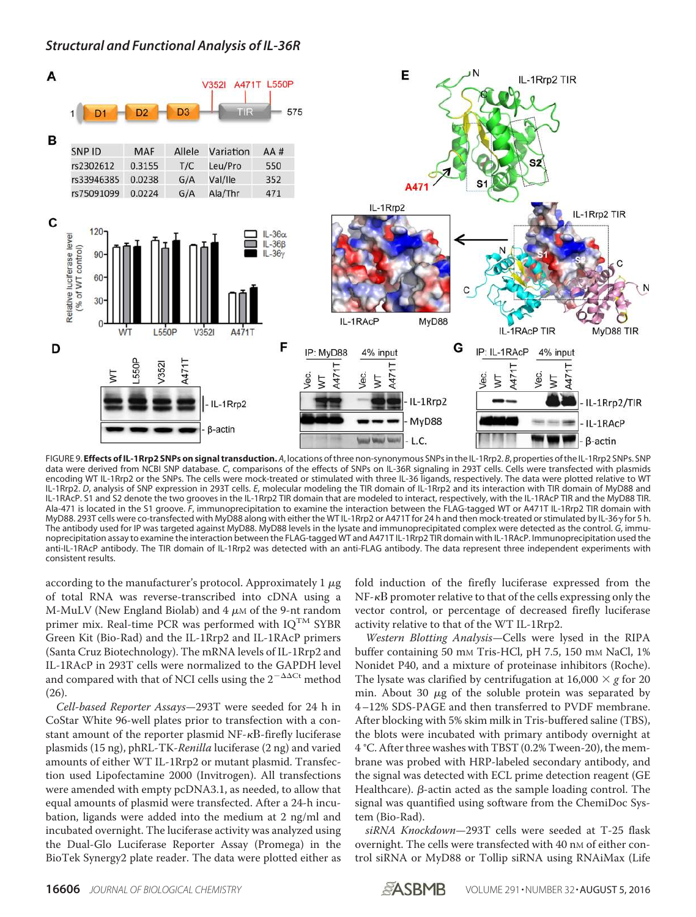*Structural and Functional Analysis of IL-36R*



FIGURE 9. **Effects of IL-1Rrp2 SNPs on signal transduction.** A, locations of three non-synonymous SNPs in the IL-1Rrp2. *B*, properties of the IL-1Rrp2 SNPs. SNP data were derived from NCBI SNP database. *C*, comparisons of the effects of SNPs on IL-36R signaling in 293T cells. Cells were transfected with plasmids encoding WT IL-1Rrp2 or the SNPs. The cells were mock-treated or stimulated with three IL-36 ligands, respectively. The data were plotted relative to WT IL-1Rrp2. *D*, analysis of SNP expression in 293T cells. *E*, molecular modeling the TIR domain of IL-1Rrp2 and its interaction with TIR domain of MyD88 and IL-1RAcP. S1 and S2 denote the two grooves in the IL-1Rrp2 TIR domain that are modeled to interact, respectively, with the IL-1RAcP TIR and the MyD88 TIR. Ala-471 is located in the S1 groove. *F*, immunoprecipitation to examine the interaction between the FLAG-tagged WT or A471T IL-1Rrp2 TIR domain with MyD88. 293T cells were co-transfected with MyD88 along with either the WT IL-1Rrp2 or A471T for 24 h and then mock-treated or stimulated by IL-36 y for 5 h. The antibody used for IP was targeted against MyD88. MyD88 levels in the lysate and immunoprecipitated complex were detected as the control. *G*, immunoprecipitation assay to examine the interaction between the FLAG-tagged WT and A471T IL-1Rrp2 TIR domain with IL-1RAcP. Immunoprecipitation used the anti-IL-1RAcP antibody. The TIR domain of IL-1Rrp2 was detected with an anti-FLAG antibody. The data represent three independent experiments with consistent results.

according to the manufacturer's protocol. Approximately 1  $\mu$ g of total RNA was reverse-transcribed into cDNA using a M-MuLV (New England Biolab) and  $4 \mu$ M of the 9-nt random primer mix. Real-time PCR was performed with  $IQ^{TM}$  SYBR Green Kit (Bio-Rad) and the IL-1Rrp2 and IL-1RAcP primers (Santa Cruz Biotechnology). The mRNA levels of IL-1Rrp2 and IL-1RAcP in 293T cells were normalized to the GAPDH level and compared with that of NCI cells using the  $2^{-\Delta\Delta\text{Ct}}$  method (26).

Cell-based Reporter Assays—293T were seeded for 24 h in CoStar White 96-well plates prior to transfection with a constant amount of the reporter plasmid NF- $\kappa$ B-firefly luciferase plasmids (15 ng), phRL-TK-Renilla luciferase (2 ng) and varied amounts of either WT IL-1Rrp2 or mutant plasmid. Transfection used Lipofectamine 2000 (Invitrogen). All transfections were amended with empty pcDNA3.1, as needed, to allow that equal amounts of plasmid were transfected. After a 24-h incubation, ligands were added into the medium at 2 ng/ml and incubated overnight. The luciferase activity was analyzed using the Dual-Glo Luciferase Reporter Assay (Promega) in the BioTek Synergy2 plate reader. The data were plotted either as

fold induction of the firefly luciferase expressed from the  $NF - \kappa B$  promoter relative to that of the cells expressing only the vector control, or percentage of decreased firefly luciferase activity relative to that of the WT IL-1Rrp2.

Western Blotting Analysis—Cells were lysed in the RIPA buffer containing 50 mm Tris-HCl, pH 7.5, 150 mm NaCl, 1% Nonidet P40, and a mixture of proteinase inhibitors (Roche). The lysate was clarified by centrifugation at  $16,000 \times g$  for 20 min. About 30  $\mu$ g of the soluble protein was separated by 4–12% SDS-PAGE and then transferred to PVDF membrane. After blocking with 5% skim milk in Tris-buffered saline (TBS), the blots were incubated with primary antibody overnight at 4 °C. After three washes with TBST (0.2% Tween-20), the membrane was probed with HRP-labeled secondary antibody, and the signal was detected with ECL prime detection reagent (GE Healthcare).  $\beta$ -actin acted as the sample loading control. The signal was quantified using software from the ChemiDoc System (Bio-Rad).

siRNA Knockdown-293T cells were seeded at T-25 flask overnight. The cells were transfected with 40 nm of either control siRNA or MyD88 or Tollip siRNA using RNAiMax (Life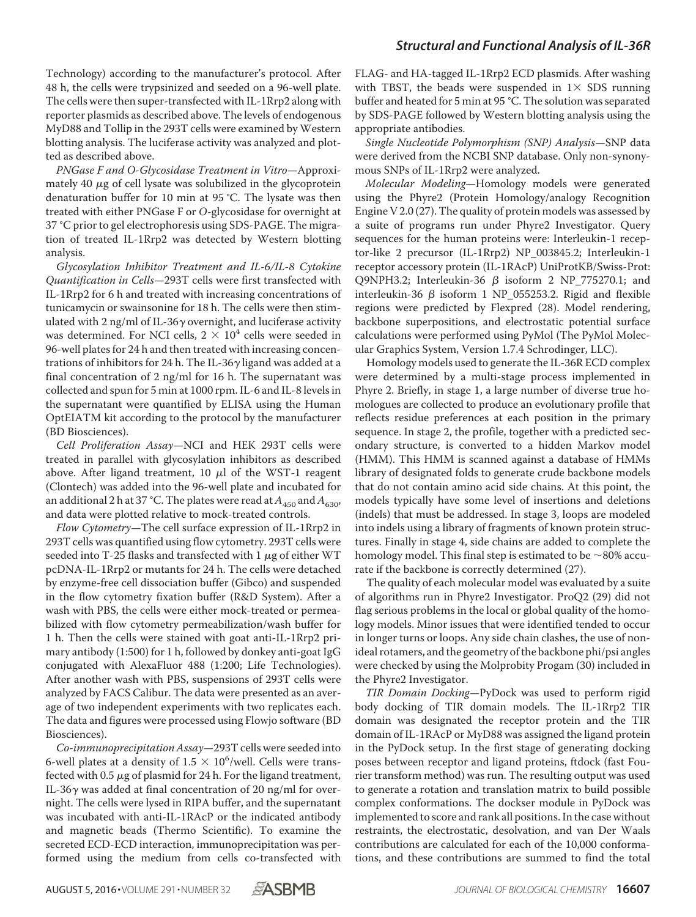Technology) according to the manufacturer's protocol. After 48 h, the cells were trypsinized and seeded on a 96-well plate. The cells were then super-transfected with IL-1Rrp2 along with reporter plasmids as described above. The levels of endogenous MyD88 and Tollip in the 293T cells were examined by Western blotting analysis. The luciferase activity was analyzed and plotted as described above.

PNGase F and O-Glycosidase Treatment in Vitro—Approximately 40  $\mu$ g of cell lysate was solubilized in the glycoprotein denaturation buffer for 10 min at 95 °C. The lysate was then treated with either PNGase F or O-glycosidase for overnight at 37 °C prior to gel electrophoresis using SDS-PAGE. The migration of treated IL-1Rrp2 was detected by Western blotting analysis.

Glycosylation Inhibitor Treatment and IL-6/IL-8 Cytokine Quantification in Cells—293T cells were first transfected with IL-1Rrp2 for 6 h and treated with increasing concentrations of tunicamycin or swainsonine for 18 h. The cells were then stimulated with 2 ng/ml of IL-36 $\gamma$  overnight, and luciferase activity was determined. For NCI cells,  $2 \times 10^4$  cells were seeded in 96-well plates for 24 h and then treated with increasing concentrations of inhibitors for 24 h. The IL-36 $\gamma$  ligand was added at a final concentration of 2 ng/ml for 16 h. The supernatant was collected and spun for 5 min at 1000 rpm. IL-6 and IL-8 levels in the supernatant were quantified by ELISA using the Human OptEIATM kit according to the protocol by the manufacturer (BD Biosciences).

Cell Proliferation Assay—NCI and HEK 293T cells were treated in parallel with glycosylation inhibitors as described above. After ligand treatment, 10  $\mu$ l of the WST-1 reagent (Clontech) was added into the 96-well plate and incubated for an additional 2 h at 37 °C. The plates were read at  $A_{450}$  and  $A_{630}$ , and data were plotted relative to mock-treated controls.

Flow Cytometry—The cell surface expression of IL-1Rrp2 in 293T cells was quantified using flow cytometry. 293T cells were seeded into T-25 flasks and transfected with 1  $\mu$ g of either WT pcDNA-IL-1Rrp2 or mutants for 24 h. The cells were detached by enzyme-free cell dissociation buffer (Gibco) and suspended in the flow cytometry fixation buffer (R&D System). After a wash with PBS, the cells were either mock-treated or permeabilized with flow cytometry permeabilization/wash buffer for 1 h. Then the cells were stained with goat anti-IL-1Rrp2 primary antibody (1:500) for 1 h, followed by donkey anti-goat IgG conjugated with AlexaFluor 488 (1:200; Life Technologies). After another wash with PBS, suspensions of 293T cells were analyzed by FACS Calibur. The data were presented as an average of two independent experiments with two replicates each. The data and figures were processed using Flowjo software (BD Biosciences).

Co-immunoprecipitation Assay—293T cells were seeded into 6-well plates at a density of  $1.5 \times 10^6$ /well. Cells were transfected with 0.5  $\mu$ g of plasmid for 24 h. For the ligand treatment, IL-36 $\gamma$  was added at final concentration of 20 ng/ml for overnight. The cells were lysed in RIPA buffer, and the supernatant was incubated with anti-IL-1RAcP or the indicated antibody and magnetic beads (Thermo Scientific). To examine the secreted ECD-ECD interaction, immunoprecipitation was performed using the medium from cells co-transfected with

FLAG- and HA-tagged IL-1Rrp2 ECD plasmids. After washing with TBST, the beads were suspended in  $1 \times$  SDS running buffer and heated for 5 min at 95 °C. The solution was separated by SDS-PAGE followed by Western blotting analysis using the appropriate antibodies.

Single Nucleotide Polymorphism (SNP) Analysis—SNP data were derived from the NCBI SNP database. Only non-synonymous SNPs of IL-1Rrp2 were analyzed.

Molecular Modeling—Homology models were generated using the Phyre2 (Protein Homology/analogy Recognition Engine V 2.0 (27). The quality of protein models was assessed by a suite of programs run under Phyre2 Investigator. Query sequences for the human proteins were: Interleukin-1 receptor-like 2 precursor (IL-1Rrp2) NP\_003845.2; Interleukin-1 receptor accessory protein (IL-1RAcP) UniProtKB/Swiss-Prot: Q9NPH3.2; Interleukin-36  $\beta$  isoform 2 NP\_775270.1; and interleukin-36  $\beta$  isoform 1 NP\_055253.2. Rigid and flexible regions were predicted by Flexpred (28). Model rendering, backbone superpositions, and electrostatic potential surface calculations were performed using PyMol (The PyMol Molecular Graphics System, Version 1.7.4 Schrodinger, LLC).

Homology models used to generate the IL-36R ECD complex were determined by a multi-stage process implemented in Phyre 2. Briefly, in stage 1, a large number of diverse true homologues are collected to produce an evolutionary profile that reflects residue preferences at each position in the primary sequence. In stage 2, the profile, together with a predicted secondary structure, is converted to a hidden Markov model (HMM). This HMM is scanned against a database of HMMs library of designated folds to generate crude backbone models that do not contain amino acid side chains. At this point, the models typically have some level of insertions and deletions (indels) that must be addressed. In stage 3, loops are modeled into indels using a library of fragments of known protein structures. Finally in stage 4, side chains are added to complete the homology model. This final step is estimated to be  $\sim$  80% accurate if the backbone is correctly determined (27).

The quality of each molecular model was evaluated by a suite of algorithms run in Phyre2 Investigator. ProQ2 (29) did not flag serious problems in the local or global quality of the homology models. Minor issues that were identified tended to occur in longer turns or loops. Any side chain clashes, the use of nonideal rotamers, and the geometry of the backbone phi/psi angles were checked by using the Molprobity Progam (30) included in the Phyre2 Investigator.

TIR Domain Docking—PyDock was used to perform rigid body docking of TIR domain models. The IL-1Rrp2 TIR domain was designated the receptor protein and the TIR domain of IL-1RAcP or MyD88 was assigned the ligand protein in the PyDock setup. In the first stage of generating docking poses between receptor and ligand proteins, ftdock (fast Fourier transform method) was run. The resulting output was used to generate a rotation and translation matrix to build possible complex conformations. The dockser module in PyDock was implemented to score and rank all positions. In the case without restraints, the electrostatic, desolvation, and van Der Waals contributions are calculated for each of the 10,000 conformations, and these contributions are summed to find the total

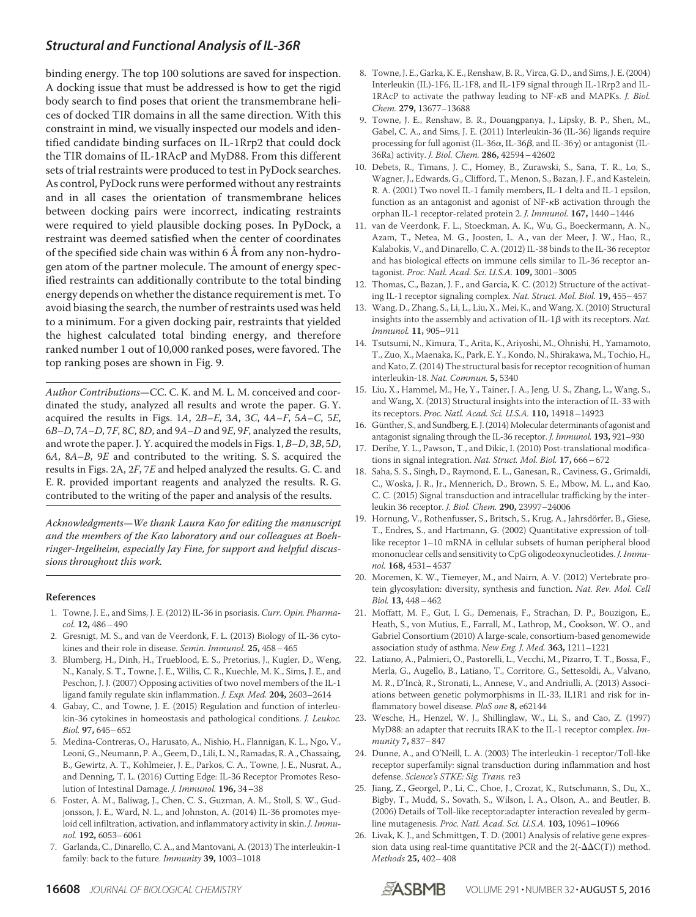binding energy. The top 100 solutions are saved for inspection. A docking issue that must be addressed is how to get the rigid body search to find poses that orient the transmembrane helices of docked TIR domains in all the same direction. With this constraint in mind, we visually inspected our models and identified candidate binding surfaces on IL-1Rrp2 that could dock the TIR domains of IL-1RAcP and MyD88. From this different sets of trial restraints were produced to test in PyDock searches. As control, PyDock runs were performed without any restraints and in all cases the orientation of transmembrane helices between docking pairs were incorrect, indicating restraints were required to yield plausible docking poses. In PyDock, a restraint was deemed satisfied when the center of coordinates of the specified side chain was within 6 Å from any non-hydrogen atom of the partner molecule. The amount of energy specified restraints can additionally contribute to the total binding energy depends on whether the distance requirement is met. To avoid biasing the search, the number of restraints used was held to a minimum. For a given docking pair, restraints that yielded the highest calculated total binding energy, and therefore ranked number 1 out of 10,000 ranked poses, were favored. The top ranking poses are shown in Fig. 9.

Author Contributions—CC. C. K. and M. L. M. conceived and coordinated the study, analyzed all results and wrote the paper. G. Y. acquired the results in Figs. 1A,  $2B-E$ , 3A, 3C,  $4A-F$ , 5A–C, 5E, 6B–D, 7A–D, 7F, 8C, 8D, and 9A–D and 9E, 9F, analyzed the results, and wrote the paper. J. Y. acquired the models in Figs. 1, B–D, 3B, 5D, 6A, 8A–B, 9E and contributed to the writing. S. S. acquired the results in Figs. 2A, 2F, 7E and helped analyzed the results. G. C. and E. R. provided important reagents and analyzed the results. R. G. contributed to the writing of the paper and analysis of the results.

Acknowledgments—We thank Laura Kao for editing the manuscript and the members of the Kao laboratory and our colleagues at Boehringer-Ingelheim, especially Jay Fine, for support and helpful discussions throughout this work.

#### **References**

- 1. Towne, J. E., and Sims, J. E. (2012) IL-36 in psoriasis. *Curr. Opin. Pharmacol.* **12,** 486–490
- 2. Gresnigt, M. S., and van de Veerdonk, F. L. (2013) Biology of IL-36 cytokines and their role in disease. *Semin. Immunol.* **25,** 458–465
- 3. Blumberg, H., Dinh, H., Trueblood, E. S., Pretorius, J., Kugler, D., Weng, N., Kanaly, S. T., Towne, J. E., Willis, C. R., Kuechle, M. K., Sims, J. E., and Peschon, J. J. (2007) Opposing activities of two novel members of the IL-1 ligand family regulate skin inflammation. *J. Exp. Med.* **204,** 2603–2614
- 4. Gabay, C., and Towne, J. E. (2015) Regulation and function of interleukin-36 cytokines in homeostasis and pathological conditions. *J. Leukoc. Biol.* **97,** 645–652
- 5. Medina-Contreras, O., Harusato, A., Nishio, H., Flannigan, K. L., Ngo, V., Leoni, G., Neumann, P. A., Geem, D., Lili, L. N., Ramadas, R. A., Chassaing, B., Gewirtz, A. T., Kohlmeier, J. E., Parkos, C. A., Towne, J. E., Nusrat, A., and Denning, T. L. (2016) Cutting Edge: IL-36 Receptor Promotes Resolution of Intestinal Damage. *J. Immunol.* **196,** 34–38
- 6. Foster, A. M., Baliwag, J., Chen, C. S., Guzman, A. M., Stoll, S. W., Gudjonsson, J. E., Ward, N. L., and Johnston, A. (2014) IL-36 promotes myeloid cell infiltration, activation, and inflammatory activity in skin. *J. Immunol.* **192,** 6053–6061
- 7. Garlanda, C., Dinarello, C. A., and Mantovani, A. (2013) The interleukin-1 family: back to the future. *Immunity* **39,** 1003–1018
- 8. Towne, J. E., Garka, K. E., Renshaw, B. R., Virca, G. D., and Sims, J. E. (2004) Interleukin (IL)-1F6, IL-1F8, and IL-1F9 signal through IL-1Rrp2 and IL-1RAcP to activate the pathway leading to NF- $\kappa$ B and MAPKs. *J. Biol. Chem.* **279,** 13677–13688
- 9. Towne, J. E., Renshaw, B. R., Douangpanya, J., Lipsky, B. P., Shen, M., Gabel, C. A., and Sims, J. E. (2011) Interleukin-36 (IL-36) ligands require processing for full agonist (IL-36 $\alpha$ , IL-36 $\beta$ , and IL-36 $\gamma$ ) or antagonist (IL-36Ra) activity. *J. Biol. Chem.* **286,** 42594–42602
- 10. Debets, R., Timans, J. C., Homey, B., Zurawski, S., Sana, T. R., Lo, S., Wagner, J., Edwards, G., Clifford, T., Menon, S., Bazan, J. F., and Kastelein, R. A. (2001) Two novel IL-1 family members, IL-1 delta and IL-1 epsilon, function as an antagonist and agonist of  $NF - \kappa B$  activation through the orphan IL-1 receptor-related protein 2. *J. Immunol.* **167,** 1440–1446
- 11. van de Veerdonk, F. L., Stoeckman, A. K., Wu, G., Boeckermann, A. N., Azam, T., Netea, M. G., Joosten, L. A., van der Meer, J. W., Hao, R., Kalabokis, V., and Dinarello, C. A. (2012) IL-38 binds to the IL-36 receptor and has biological effects on immune cells similar to IL-36 receptor antagonist. *Proc. Natl. Acad. Sci. U.S.A.* **109,** 3001–3005
- 12. Thomas, C., Bazan, J. F., and Garcia, K. C. (2012) Structure of the activating IL-1 receptor signaling complex. *Nat. Struct. Mol. Biol.* **19,** 455–457
- 13. Wang, D., Zhang, S., Li, L., Liu, X., Mei, K., and Wang, X. (2010) Structural insights into the assembly and activation of IL-1 $\beta$  with its receptors. *Nat. Immunol.* **11,** 905–911
- 14. Tsutsumi, N., Kimura, T., Arita, K., Ariyoshi, M., Ohnishi, H., Yamamoto, T., Zuo, X., Maenaka, K., Park, E. Y., Kondo, N., Shirakawa, M., Tochio, H., and Kato, Z. (2014) The structural basis for receptor recognition of human interleukin-18. *Nat. Commun.* **5,** 5340
- 15. Liu, X., Hammel, M., He, Y., Tainer, J. A., Jeng, U. S., Zhang, L., Wang, S., and Wang, X. (2013) Structural insights into the interaction of IL-33 with its receptors. *Proc. Natl. Acad. Sci. U.S.A.* **110,** 14918–14923
- 16. Günther, S., and Sundberg, E. J. (2014) Molecular determinants of agonist and antagonist signaling through the IL-36 receptor. *J. Immunol.* **193,** 921–930
- 17. Deribe, Y. L., Pawson, T., and Dikic, I. (2010) Post-translational modifications in signal integration. *Nat. Struct. Mol. Biol.* **17,** 666–672
- 18. Saha, S. S., Singh, D., Raymond, E. L., Ganesan, R., Caviness, G., Grimaldi, C., Woska, J. R., Jr., Mennerich, D., Brown, S. E., Mbow, M. L., and Kao, C. C. (2015) Signal transduction and intracellular trafficking by the interleukin 36 receptor. *J. Biol. Chem.* **290,** 23997–24006
- 19. Hornung, V., Rothenfusser, S., Britsch, S., Krug, A., Jahrsdörfer, B., Giese, T., Endres, S., and Hartmann, G. (2002) Quantitative expression of tolllike receptor 1–10 mRNA in cellular subsets of human peripheral blood mononuclear cells and sensitivity to CpG oligodeoxynucleotides. *J. Immunol.* **168,** 4531–4537
- 20. Moremen, K. W., Tiemeyer, M., and Nairn, A. V. (2012) Vertebrate protein glycosylation: diversity, synthesis and function. *Nat. Rev. Mol. Cell Biol.* **13,** 448–462
- 21. Moffatt, M. F., Gut, I. G., Demenais, F., Strachan, D. P., Bouzigon, E., Heath, S., von Mutius, E., Farrall, M., Lathrop, M., Cookson, W. O., and Gabriel Consortium (2010) A large-scale, consortium-based genomewide association study of asthma. *New Eng. J. Med.* **363,** 1211–1221
- 22. Latiano, A., Palmieri, O., Pastorelli, L., Vecchi, M., Pizarro, T. T., Bossa, F., Merla, G., Augello, B., Latiano, T., Corritore, G., Settesoldi, A., Valvano, M. R., D'Incà, R., Stronati, L., Annese, V., and Andriulli, A. (2013) Associations between genetic polymorphisms in IL-33, IL1R1 and risk for inflammatory bowel disease. *PloS one* **8,** e62144
- 23. Wesche, H., Henzel, W. J., Shillinglaw, W., Li, S., and Cao, Z. (1997) MyD88: an adapter that recruits IRAK to the IL-1 receptor complex. *Immunity* **7,** 837–847
- 24. Dunne, A., and O'Neill, L. A. (2003) The interleukin-1 receptor/Toll-like receptor superfamily: signal transduction during inflammation and host defense. *Science's STKE: Sig. Trans.* re3
- 25. Jiang, Z., Georgel, P., Li, C., Choe, J., Crozat, K., Rutschmann, S., Du, X., Bigby, T., Mudd, S., Sovath, S., Wilson, I. A., Olson, A., and Beutler, B. (2006) Details of Toll-like receptor:adapter interaction revealed by germline mutagenesis. *Proc. Natl. Acad. Sci. U.S.A.* **103,** 10961–10966
- 26. Livak, K. J., and Schmittgen, T. D. (2001) Analysis of relative gene expression data using real-time quantitative PCR and the  $2(-\Delta\Delta C(T))$  method. *Methods* **25,** 402–408